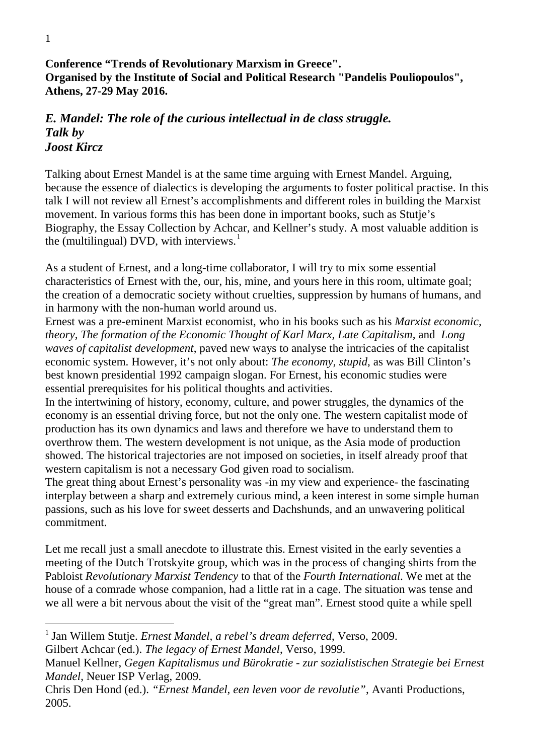**Conference "Trends of Revolutionary Marxism in Greece". Organised by the Institute of Social and Political Research "Pandelis Pouliopoulos", Athens, 27-29 May 2016.**

## *E. Mandel: The role of the curious intellectual in de class struggle. Talk by Joost Kircz*

Talking about Ernest Mandel is at the same time arguing with Ernest Mandel. Arguing, because the essence of dialectics is developing the arguments to foster political practise. In this talk I will not review all Ernest's accomplishments and different roles in building the Marxist movement. In various forms this has been done in important books, such as Stutje's Biography, the Essay Collection by Achcar, and Kellner's study. A most valuable addition is the (multilingual) DVD, with interviews.<sup>[1](#page-0-0)</sup>

As a student of Ernest, and a long-time collaborator, I will try to mix some essential characteristics of Ernest with the, our, his, mine, and yours here in this room, ultimate goal; the creation of a democratic society without cruelties, suppression by humans of humans, and in harmony with the non-human world around us.

Ernest was a pre-eminent Marxist economist, who in his books such as his *Marxist economic, theory, The formation of the Economic Thought of Karl Marx, Late Capitalism,* and *Long waves of capitalist development*, paved new ways to analyse the intricacies of the capitalist economic system. However, it's not only about: *The economy, stupid*, as was Bill Clinton's best known presidential 1992 campaign slogan. For Ernest, his economic studies were essential prerequisites for his political thoughts and activities.

In the intertwining of history, economy, culture, and power struggles, the dynamics of the economy is an essential driving force, but not the only one. The western capitalist mode of production has its own dynamics and laws and therefore we have to understand them to overthrow them. The western development is not unique, as the Asia mode of production showed. The historical trajectories are not imposed on societies, in itself already proof that western capitalism is not a necessary God given road to socialism.

The great thing about Ernest's personality was -in my view and experience- the fascinating interplay between a sharp and extremely curious mind, a keen interest in some simple human passions, such as his love for sweet desserts and Dachshunds, and an unwavering political commitment.

Let me recall just a small anecdote to illustrate this. Ernest visited in the early seventies a meeting of the Dutch Trotskyite group, which was in the process of changing shirts from the Pabloist *Revolutionary Marxist Tendency* to that of the *Fourth International*. We met at the house of a comrade whose companion, had a little rat in a cage. The situation was tense and we all were a bit nervous about the visit of the "great man". Ernest stood quite a while spell

<span id="page-0-0"></span> <sup>1</sup> Jan Willem Stutje. *Ernest Mandel, a rebel's dream deferred*, Verso, 2009.

Gilbert Achcar (ed.). *The legacy of Ernest Mandel*, Verso, 1999.

Manuel Kellner, *Gegen Kapitalismus und Bürokratie - zur sozialistischen Strategie bei Ernest Mandel*, Neuer ISP Verlag, 2009.

Chris Den Hond (ed.). *"Ernest Mandel, een leven voor de revolutie"*, Avanti Productions, 2005.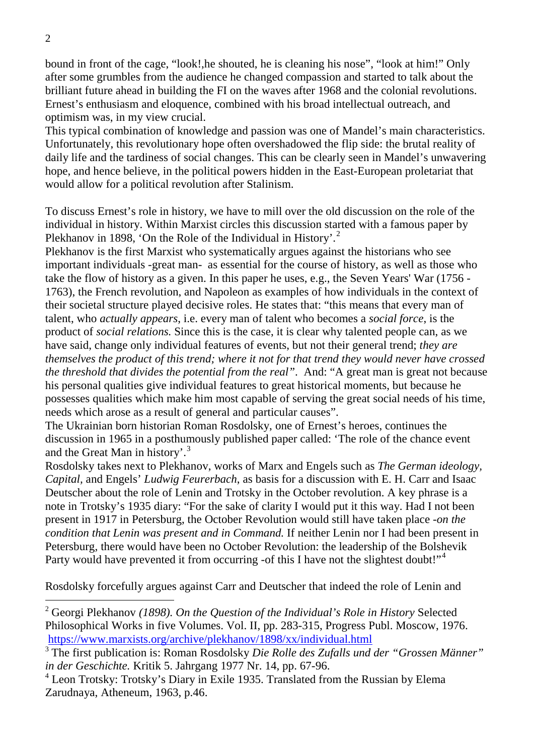bound in front of the cage, "look!,he shouted, he is cleaning his nose", "look at him!" Only after some grumbles from the audience he changed compassion and started to talk about the brilliant future ahead in building the FI on the waves after 1968 and the colonial revolutions. Ernest's enthusiasm and eloquence, combined with his broad intellectual outreach, and optimism was, in my view crucial.

This typical combination of knowledge and passion was one of Mandel's main characteristics. Unfortunately, this revolutionary hope often overshadowed the flip side: the brutal reality of daily life and the tardiness of social changes. This can be clearly seen in Mandel's unwavering hope, and hence believe, in the political powers hidden in the East-European proletariat that would allow for a political revolution after Stalinism.

To discuss Ernest's role in history, we have to mill over the old discussion on the role of the individual in history. Within Marxist circles this discussion started with a famous paper by Plekhanov in 1898, 'On the Role of the Individual in History'.<sup>[2](#page-1-0)</sup>

Plekhanov is the first Marxist who systematically argues against the historians who see important individuals -great man- as essential for the course of history, as well as those who take the flow of history as a given. In this paper he uses, e.g., the Seven Years' War (1756 - 1763), the French revolution, and Napoleon as examples of how individuals in the context of their societal structure played decisive roles. He states that: "this means that every man of talent, who *actually appears*, i.e. every man of talent who becomes a *social force*, is the product of *social relations.* Since this is the case, it is clear why talented people can, as we have said, change only individual features of events, but not their general trend; *they are themselves the product of this trend; where it not for that trend they would never have crossed the threshold that divides the potential from the real"*. And: "A great man is great not because his personal qualities give individual features to great historical moments, but because he possesses qualities which make him most capable of serving the great social needs of his time, needs which arose as a result of general and particular causes".

The Ukrainian born historian Roman Rosdolsky, one of Ernest's heroes, continues the discussion in 1965 in a posthumously published paper called: 'The role of the chance event and the Great Man in history'.[3](#page-1-1)

Rosdolsky takes next to Plekhanov, works of Marx and Engels such as *The German ideology, Capital,* and Engels' *Ludwig Feurerbach*, as basis for a discussion with E. H. Carr and Isaac Deutscher about the role of Lenin and Trotsky in the October revolution. A key phrase is a note in Trotsky's 1935 diary: "For the sake of clarity I would put it this way. Had I not been present in 1917 in Petersburg, the October Revolution would still have taken place -*on the condition that Lenin was present and in Command.* If neither Lenin nor I had been present in Petersburg, there would have been no October Revolution: the leadership of the Bolshevik Party would have prevented it from occurring -of this I have not the slightest doubt!"<sup>[4](#page-1-2)</sup>

Rosdolsky forcefully argues against Carr and Deutscher that indeed the role of Lenin and

<span id="page-1-0"></span> <sup>2</sup> Georgi Plekhanov *(1898). On the Question of the Individual's Role in History* Selected Philosophical Works in five Volumes. Vol. II, pp. 283-315, Progress Publ. Moscow, 1976. <https://www.marxists.org/archive/plekhanov/1898/xx/individual.html>

<span id="page-1-1"></span><sup>3</sup> The first publication is: Roman Rosdolsky *Die Rolle des Zufalls und der "Grossen Männer" in der Geschichte.* Kritik 5. Jahrgang 1977 Nr. 14, pp. 67-96.

<span id="page-1-2"></span><sup>4</sup> Leon Trotsky: Trotsky's Diary in Exile 1935. Translated from the Russian by Elema Zarudnaya, Atheneum, 1963, p.46.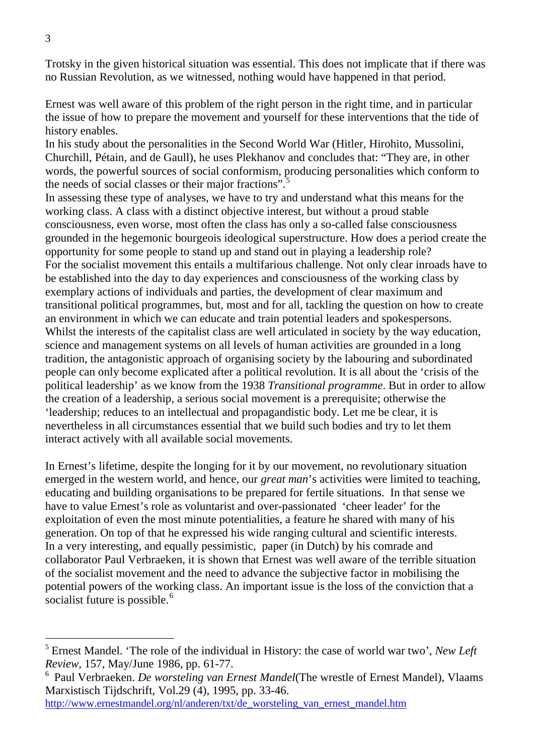Trotsky in the given historical situation was essential. This does not implicate that if there was no Russian Revolution, as we witnessed, nothing would have happened in that period.

Ernest was well aware of this problem of the right person in the right time, and in particular the issue of how to prepare the movement and yourself for these interventions that the tide of history enables.

In his study about the personalities in the Second World War (Hitler, Hirohito, Mussolini, Churchill, Pétain, and de Gaull), he uses Plekhanov and concludes that: "They are, in other words, the powerful sources of social conformism, producing personalities which conform to the needs of social classes or their major fractions".<sup>[5](#page-2-0)</sup>

In assessing these type of analyses, we have to try and understand what this means for the working class. A class with a distinct objective interest, but without a proud stable consciousness, even worse, most often the class has only a so-called false consciousness grounded in the hegemonic bourgeois ideological superstructure. How does a period create the opportunity for some people to stand up and stand out in playing a leadership role? For the socialist movement this entails a multifarious challenge. Not only clear inroads have to be established into the day to day experiences and consciousness of the working class by exemplary actions of individuals and parties, the development of clear maximum and transitional political programmes, but, most and for all, tackling the question on how to create an environment in which we can educate and train potential leaders and spokespersons. Whilst the interests of the capitalist class are well articulated in society by the way education, science and management systems on all levels of human activities are grounded in a long tradition, the antagonistic approach of organising society by the labouring and subordinated people can only become explicated after a political revolution. It is all about the 'crisis of the political leadership' as we know from the 1938 *Transitional programme*. But in order to allow the creation of a leadership, a serious social movement is a prerequisite; otherwise the 'leadership; reduces to an intellectual and propagandistic body. Let me be clear, it is nevertheless in all circumstances essential that we build such bodies and try to let them interact actively with all available social movements.

In Ernest's lifetime, despite the longing for it by our movement, no revolutionary situation emerged in the western world, and hence, our *great man*'s activities were limited to teaching, educating and building organisations to be prepared for fertile situations. In that sense we have to value Ernest's role as voluntarist and over-passionated 'cheer leader' for the exploitation of even the most minute potentialities, a feature he shared with many of his generation. On top of that he expressed his wide ranging cultural and scientific interests. In a very interesting, and equally pessimistic, paper (in Dutch) by his comrade and collaborator Paul Verbraeken, it is shown that Ernest was well aware of the terrible situation of the socialist movement and the need to advance the subjective factor in mobilising the potential powers of the working class. An important issue is the loss of the conviction that a socialist future is possible.<sup>[6](#page-2-1)</sup>

[http://www.ernestmandel.org/nl/anderen/txt/de\\_worsteling\\_van\\_ernest\\_mandel.htm](http://www.ernestmandel.org/nl/anderen/txt/de_worsteling_van_ernest_mandel.htm)

<span id="page-2-0"></span> <sup>5</sup> Ernest Mandel. 'The role of the individual in History: the case of world war two', *New Left Review,* 157, May/June 1986, pp. 61-77.

<span id="page-2-1"></span><sup>6</sup> Paul Verbraeken. *De worsteling van Ernest Mandel*(The wrestle of Ernest Mandel), Vlaams Marxistisch Tijdschrift, Vol.29 (4), 1995, pp. 33-46.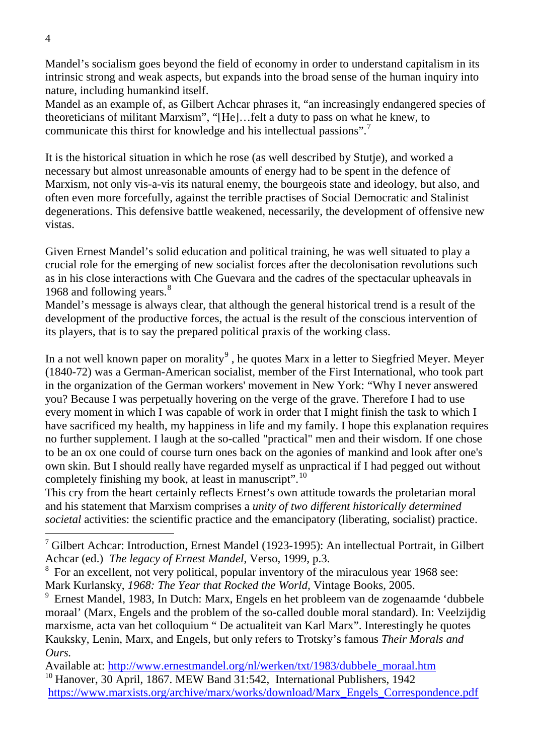Mandel's socialism goes beyond the field of economy in order to understand capitalism in its intrinsic strong and weak aspects, but expands into the broad sense of the human inquiry into nature, including humankind itself.

Mandel as an example of, as Gilbert Achcar phrases it, "an increasingly endangered species of theoreticians of militant Marxism", "[He]…felt a duty to pass on what he knew, to communicate this thirst for knowledge and his intellectual passions".[7](#page-3-0)

It is the historical situation in which he rose (as well described by Stutje), and worked a necessary but almost unreasonable amounts of energy had to be spent in the defence of Marxism, not only vis-a-vis its natural enemy, the bourgeois state and ideology, but also, and often even more forcefully, against the terrible practises of Social Democratic and Stalinist degenerations. This defensive battle weakened, necessarily, the development of offensive new vistas.

Given Ernest Mandel's solid education and political training, he was well situated to play a crucial role for the emerging of new socialist forces after the decolonisation revolutions such as in his close interactions with Che Guevara and the cadres of the spectacular upheavals in 196[8](#page-3-1) and following years.<sup>8</sup>

Mandel's message is always clear, that although the general historical trend is a result of the development of the productive forces, the actual is the result of the conscious intervention of its players, that is to say the prepared political praxis of the working class.

In a not well known paper on morality<sup>[9](#page-3-2)</sup>, he quotes Marx in a letter to Siegfried Meyer. Meyer (1840-72) was a German-American socialist, member of the First International, who took part in the organization of the German workers' movement in New York: "Why I never answered you? Because I was perpetually hovering on the verge of the grave. Therefore I had to use every moment in which I was capable of work in order that I might finish the task to which I have sacrificed my health, my happiness in life and my family. I hope this explanation requires no further supplement. I laugh at the so-called "practical" men and their wisdom. If one chose to be an ox one could of course turn ones back on the agonies of mankind and look after one's own skin. But I should really have regarded myself as unpractical if I had pegged out without completely finishing my book, at least in manuscript".[10](#page-3-3)

This cry from the heart certainly reflects Ernest's own attitude towards the proletarian moral and his statement that Marxism comprises a *unity of two different historically determined societal* activities: the scientific practice and the emancipatory (liberating, socialist) practice.

<span id="page-3-0"></span> $<sup>7</sup>$  Gilbert Achcar: Introduction, Ernest Mandel (1923-1995): An intellectual Portrait, in Gilbert</sup> Achcar (ed.) *The legacy of Ernest Mandel*, Verso, 1999, p.3.

<span id="page-3-1"></span><sup>8</sup> For an excellent, not very political, popular inventory of the miraculous year 1968 see: Mark Kurlansky, *1968: The Year that Rocked the World,* Vintage Books, 2005.

<span id="page-3-2"></span><sup>9</sup> Ernest Mandel, 1983, In Dutch: Marx, Engels en het probleem van de zogenaamde 'dubbele moraal' (Marx, Engels and the problem of the so-called double moral standard). In: Veelzijdig marxisme, acta van het colloquium " De actualiteit van Karl Marx". Interestingly he quotes Kauksky, Lenin, Marx, and Engels, but only refers to Trotsky's famous *Their Morals and Ours.*

<span id="page-3-3"></span>Available at: [http://www.ernestmandel.org/nl/werken/txt/1983/dubbele\\_moraal.htm](http://www.ernestmandel.org/nl/werken/txt/1983/dubbele_moraal.htm) <sup>10</sup> Hanover, 30 April, 1867. MEW Band 31:542, International Publishers, 1942 [https://www.marxists.org/archive/marx/works/download/Marx\\_Engels\\_Correspondence.pdf](https://www.marxists.org/archive/marx/works/download/Marx_Engels_Correspondence.pdf)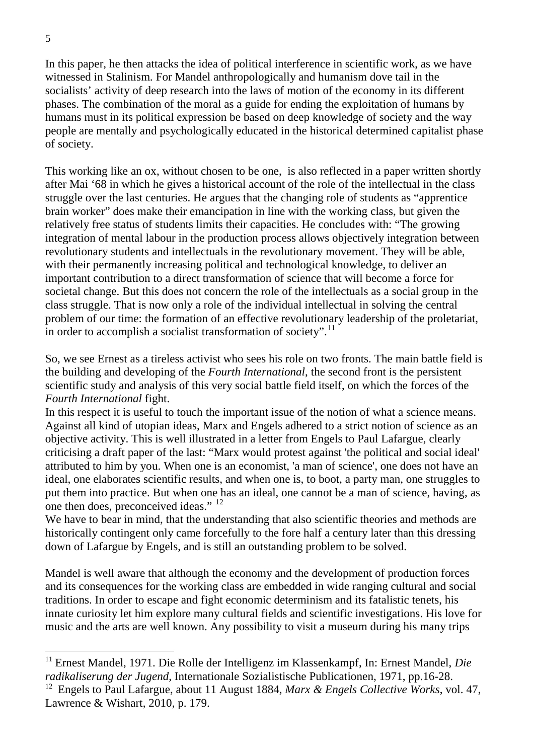In this paper, he then attacks the idea of political interference in scientific work, as we have witnessed in Stalinism. For Mandel anthropologically and humanism dove tail in the socialists' activity of deep research into the laws of motion of the economy in its different phases. The combination of the moral as a guide for ending the exploitation of humans by humans must in its political expression be based on deep knowledge of society and the way people are mentally and psychologically educated in the historical determined capitalist phase of society.

This working like an ox, without chosen to be one, is also reflected in a paper written shortly after Mai '68 in which he gives a historical account of the role of the intellectual in the class struggle over the last centuries. He argues that the changing role of students as "apprentice brain worker" does make their emancipation in line with the working class, but given the relatively free status of students limits their capacities. He concludes with: "The growing integration of mental labour in the production process allows objectively integration between revolutionary students and intellectuals in the revolutionary movement. They will be able, with their permanently increasing political and technological knowledge, to deliver an important contribution to a direct transformation of science that will become a force for societal change. But this does not concern the role of the intellectuals as a social group in the class struggle. That is now only a role of the individual intellectual in solving the central problem of our time: the formation of an effective revolutionary leadership of the proletariat, in order to accomplish a socialist transformation of society".<sup>[11](#page-4-0)</sup>

So, we see Ernest as a tireless activist who sees his role on two fronts. The main battle field is the building and developing of the *Fourth International*, the second front is the persistent scientific study and analysis of this very social battle field itself, on which the forces of the *Fourth International* fight.

In this respect it is useful to touch the important issue of the notion of what a science means. Against all kind of utopian ideas, Marx and Engels adhered to a strict notion of science as an objective activity. This is well illustrated in a letter from Engels to Paul Lafargue, clearly criticising a draft paper of the last: "Marx would protest against 'the political and social ideal' attributed to him by you. When one is an economist, 'a man of science', one does not have an ideal, one elaborates scientific results, and when one is, to boot, a party man, one struggles to put them into practice. But when one has an ideal, one cannot be a man of science, having, as one then does, preconceived ideas." [12](#page-4-1)

We have to bear in mind, that the understanding that also scientific theories and methods are historically contingent only came forcefully to the fore half a century later than this dressing down of Lafargue by Engels, and is still an outstanding problem to be solved.

Mandel is well aware that although the economy and the development of production forces and its consequences for the working class are embedded in wide ranging cultural and social traditions. In order to escape and fight economic determinism and its fatalistic tenets, his innate curiosity let him explore many cultural fields and scientific investigations. His love for music and the arts are well known. Any possibility to visit a museum during his many trips

<span id="page-4-0"></span> <sup>11</sup> Ernest Mandel, 1971. Die Rolle der Intelligenz im Klassenkampf, In: Ernest Mandel, *Die radikaliserung der Jugend,* Internationale Sozialistische Publicationen, 1971, pp.16-28.

<span id="page-4-1"></span><sup>12</sup> Engels to Paul Lafargue, about 11 August 1884, *Marx & Engels Collective Works*, vol. 47, Lawrence & Wishart, 2010, p. 179.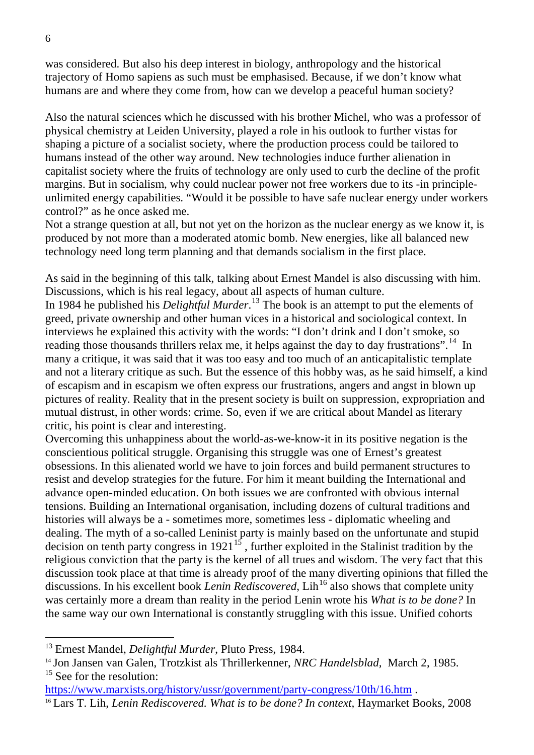was considered. But also his deep interest in biology, anthropology and the historical trajectory of Homo sapiens as such must be emphasised. Because, if we don't know what humans are and where they come from, how can we develop a peaceful human society?

Also the natural sciences which he discussed with his brother Michel, who was a professor of physical chemistry at Leiden University, played a role in his outlook to further vistas for shaping a picture of a socialist society, where the production process could be tailored to humans instead of the other way around. New technologies induce further alienation in capitalist society where the fruits of technology are only used to curb the decline of the profit margins. But in socialism, why could nuclear power not free workers due to its -in principleunlimited energy capabilities. "Would it be possible to have safe nuclear energy under workers control?" as he once asked me.

Not a strange question at all, but not yet on the horizon as the nuclear energy as we know it, is produced by not more than a moderated atomic bomb. New energies, like all balanced new technology need long term planning and that demands socialism in the first place.

As said in the beginning of this talk, talking about Ernest Mandel is also discussing with him. Discussions, which is his real legacy, about all aspects of human culture.

In 1984 he published his *Delightful Murder*. [13](#page-5-0) The book is an attempt to put the elements of greed, private ownership and other human vices in a historical and sociological context. In interviews he explained this activity with the words: "I don't drink and I don't smoke, so reading those thousands thrillers relax me, it helps against the day to day frustrations".<sup>[14](#page-5-1)</sup> In many a critique, it was said that it was too easy and too much of an anticapitalistic template and not a literary critique as such. But the essence of this hobby was, as he said himself, a kind of escapism and in escapism we often express our frustrations, angers and angst in blown up pictures of reality. Reality that in the present society is built on suppression, expropriation and mutual distrust, in other words: crime. So, even if we are critical about Mandel as literary critic, his point is clear and interesting.

Overcoming this unhappiness about the world-as-we-know-it in its positive negation is the conscientious political struggle. Organising this struggle was one of Ernest's greatest obsessions. In this alienated world we have to join forces and build permanent structures to resist and develop strategies for the future. For him it meant building the International and advance open-minded education. On both issues we are confronted with obvious internal tensions. Building an International organisation, including dozens of cultural traditions and histories will always be a - sometimes more, sometimes less - diplomatic wheeling and dealing. The myth of a so-called Leninist party is mainly based on the unfortunate and stupid decision on tenth party congress in  $1921^{15}$  $1921^{15}$  $1921^{15}$ , further exploited in the Stalinist tradition by the religious conviction that the party is the kernel of all trues and wisdom. The very fact that this discussion took place at that time is already proof of the many diverting opinions that filled the discussions. In his excellent book *Lenin Rediscovered*, Lih<sup>[16](#page-5-3)</sup> also shows that complete unity was certainly more a dream than reality in the period Lenin wrote his *What is to be done?* In the same way our own International is constantly struggling with this issue. Unified cohorts

<span id="page-5-0"></span> <sup>13</sup> Ernest Mandel, *Delightful Murder*, Pluto Press, 1984.

<span id="page-5-1"></span><sup>14</sup> Jon Jansen van Galen, Trotzkist als Thrillerkenner, *NRC Handelsblad,* March 2, 1985.  $15$  See for the resolution:

<span id="page-5-3"></span><span id="page-5-2"></span>https://www.marxists.org/history/ussr/government/party-congress/10th/16.htm .<br><sup>16</sup> Lars T. Lih, *Lenin Rediscovered. What is to be done? In context*, Haymarket Books, 2008